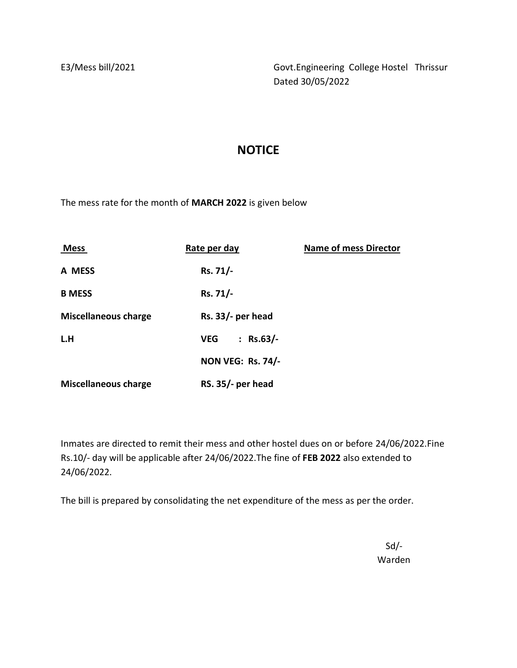E3/Mess bill/2021 Govt.Engineering College Hostel Thrissur Dated 30/05/2022

## **NOTICE**

The mess rate for the month of **MARCH 2022** is given below

| <b>Mess</b>                 | Rate per day                            | <b>Name of mess Director</b> |
|-----------------------------|-----------------------------------------|------------------------------|
| A MESS                      | Rs. 71/-                                |                              |
| <b>B MESS</b>               | Rs. 71/-                                |                              |
| <b>Miscellaneous charge</b> | $Rs. 33/$ - per head                    |                              |
| L.H                         | $Rs.63/-$<br><b>VEG</b><br>$\mathbf{L}$ |                              |
|                             | <b>NON VEG: Rs. 74/-</b>                |                              |
| <b>Miscellaneous charge</b> | $RS. 35/-$ per head                     |                              |

Inmates are directed to remit their mess and other hostel dues on or before 24/06/2022.Fine Rs.10/- day will be applicable after 24/06/2022.The fine of **FEB 2022** also extended to 24/06/2022.

The bill is prepared by consolidating the net expenditure of the mess as per the order.

Sd/- Warden